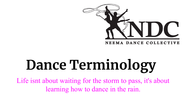

# **Dance Terminology**

Life isnt about waiting for the storm to pass, it's about learning how to dance in the rain.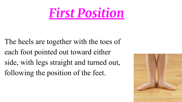## *First Position*

The heels are together with the toes of each foot pointed out toward either side, with legs straight and turned out, following the position of the feet.

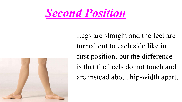

Legs are straight and the feet are turned out to each side like in first position, but the difference is that the heels do not touch and are instead about hip-width apart.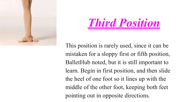

## *Third Position*

This position is rarely used, since it can be mistaken for a sloppy first or fifth position, BalletHub noted, but it is still important to learn. Begin in first position, and then slide the heel of one foot so it lines up with the middle of the other foot, keeping both feet pointing out in opposite directions.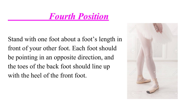#### *Fourth Position*

Stand with one foot about a foot's length in front of your other foot. Each foot should be pointing in an opposite direction, and the toes of the back foot should line up with the heel of the front foot.

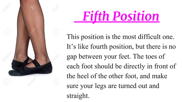

This position is the most difficult one. It's like fourth position, but there is no gap between your feet. The toes of each foot should be directly in front of the heel of the other foot, and make sure your legs are turned out and straight.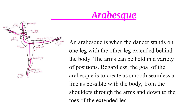



An arabesque is when the dancer stands on one leg with the other leg extended behind the body. The arms can be held in a variety of positions. Regardless, the goal of the arabesque is to create as smooth seamless a line as possible with the body, from the shoulders through the arms and down to the toes of the extended leg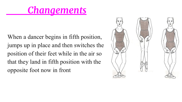#### *Changements*

When a dancer begins in fifth position, jumps up in place and then switches the position of their feet while in the air so that they land in fifth position with the opposite foot now in front

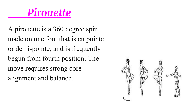### *Pirouette*

A pirouette is a 360 degree spin made on one foot that is en pointe or demi-pointe, and is frequently begun from fourth position. The move requires strong core alignment and balance,